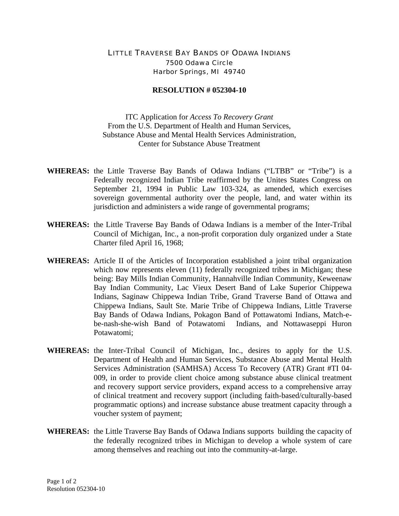## LITTLE TRAVERSE BAY BANDS OF ODAWA INDIANS 7500 Odawa Circle Harbor Springs, MI 49740

## **RESOLUTION # 052304-10**

ITC Application for *Access To Recovery Grant* From the U.S. Department of Health and Human Services, Substance Abuse and Mental Health Services Administration, Center for Substance Abuse Treatment

- **WHEREAS:** the Little Traverse Bay Bands of Odawa Indians ("LTBB" or "Tribe") is a Federally recognized Indian Tribe reaffirmed by the Unites States Congress on September 21, 1994 in Public Law 103-324, as amended, which exercises sovereign governmental authority over the people, land, and water within its jurisdiction and administers a wide range of governmental programs;
- **WHEREAS:** the Little Traverse Bay Bands of Odawa Indians is a member of the Inter-Tribal Council of Michigan, Inc., a non-profit corporation duly organized under a State Charter filed April 16, 1968;
- **WHEREAS:** Article II of the Articles of Incorporation established a joint tribal organization which now represents eleven (11) federally recognized tribes in Michigan; these being: Bay Mills Indian Community, Hannahville Indian Community, Keweenaw Bay Indian Community, Lac Vieux Desert Band of Lake Superior Chippewa Indians, Saginaw Chippewa Indian Tribe, Grand Traverse Band of Ottawa and Chippewa Indians, Sault Ste. Marie Tribe of Chippewa Indians, Little Traverse Bay Bands of Odawa Indians, Pokagon Band of Pottawatomi Indians, Match-ebe-nash-she-wish Band of Potawatomi Indians, and Nottawaseppi Huron Potawatomi;
- **WHEREAS:** the Inter-Tribal Council of Michigan, Inc., desires to apply for the U.S. Department of Health and Human Services, Substance Abuse and Mental Health Services Administration (SAMHSA) Access To Recovery (ATR) Grant #TI 04- 009, in order to provide client choice among substance abuse clinical treatment and recovery support service providers, expand access to a comprehensive array of clinical treatment and recovery support (including faith-based/culturally-based programmatic options) and increase substance abuse treatment capacity through a voucher system of payment;
- **WHEREAS:** the Little Traverse Bay Bands of Odawa Indians supports building the capacity of the federally recognized tribes in Michigan to develop a whole system of care among themselves and reaching out into the community-at-large.